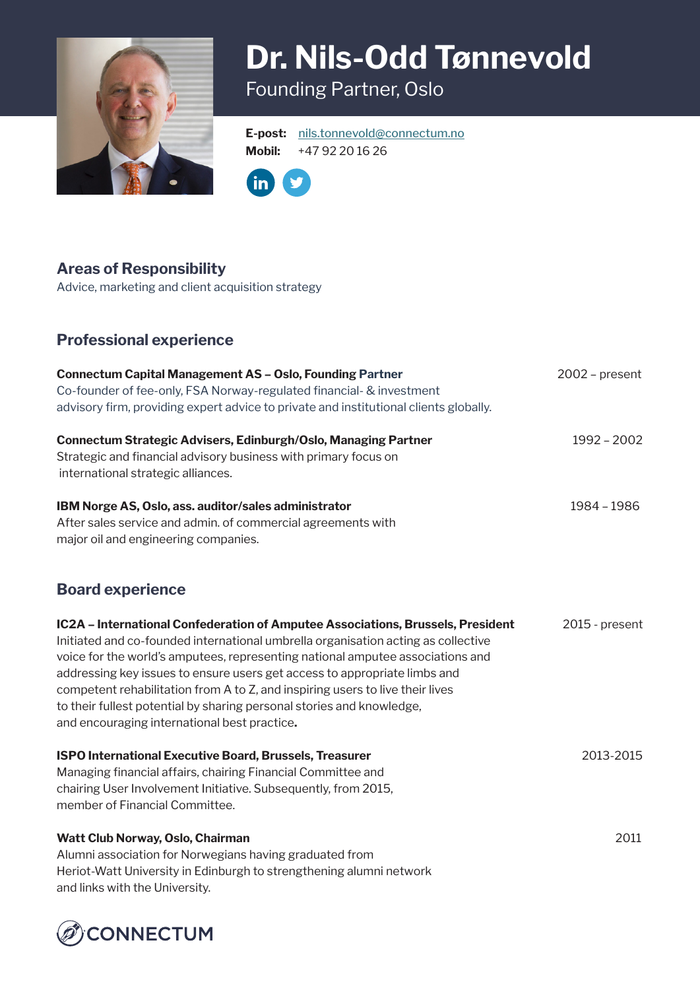

# **Dr. Nils-Odd Tønnevold** Founding Partner, Oslo

**E-post:** [nils.tonnevold@connectum.no](mailto:nils.tonnevold%40connectum.no?subject=) **Mobil:** +47 92 20 16 26



### **Areas of Responsibility**

Advice, marketing and client acquisition strategy

## **Professional experience**

| <b>Connectum Capital Management AS - Oslo, Founding Partner</b><br>Co-founder of fee-only, FSA Norway-regulated financial- & investment<br>advisory firm, providing expert advice to private and institutional clients globally.                                                                                                                                                                                                                                                                                                              | $2002$ – present |
|-----------------------------------------------------------------------------------------------------------------------------------------------------------------------------------------------------------------------------------------------------------------------------------------------------------------------------------------------------------------------------------------------------------------------------------------------------------------------------------------------------------------------------------------------|------------------|
| Connectum Strategic Advisers, Edinburgh/Oslo, Managing Partner<br>Strategic and financial advisory business with primary focus on<br>international strategic alliances.                                                                                                                                                                                                                                                                                                                                                                       | 1992 - 2002      |
| IBM Norge AS, Oslo, ass. auditor/sales administrator<br>After sales service and admin. of commercial agreements with<br>major oil and engineering companies.                                                                                                                                                                                                                                                                                                                                                                                  | 1984 - 1986      |
| <b>Board experience</b>                                                                                                                                                                                                                                                                                                                                                                                                                                                                                                                       |                  |
| IC2A - International Confederation of Amputee Associations, Brussels, President<br>Initiated and co-founded international umbrella organisation acting as collective<br>voice for the world's amputees, representing national amputee associations and<br>addressing key issues to ensure users get access to appropriate limbs and<br>competent rehabilitation from A to Z, and inspiring users to live their lives<br>to their fullest potential by sharing personal stories and knowledge,<br>and encouraging international best practice. | 2015 - present   |
| <b>ISPO International Executive Board, Brussels, Treasurer</b><br>Managing financial affairs, chairing Financial Committee and<br>chairing User Involvement Initiative. Subsequently, from 2015,<br>member of Financial Committee.                                                                                                                                                                                                                                                                                                            | 2013-2015        |
| Watt Club Norway, Oslo, Chairman<br>Alumni association for Norwegians having graduated from<br>Heriot-Watt University in Edinburgh to strengthening alumni network<br>and links with the University.                                                                                                                                                                                                                                                                                                                                          | 2011             |

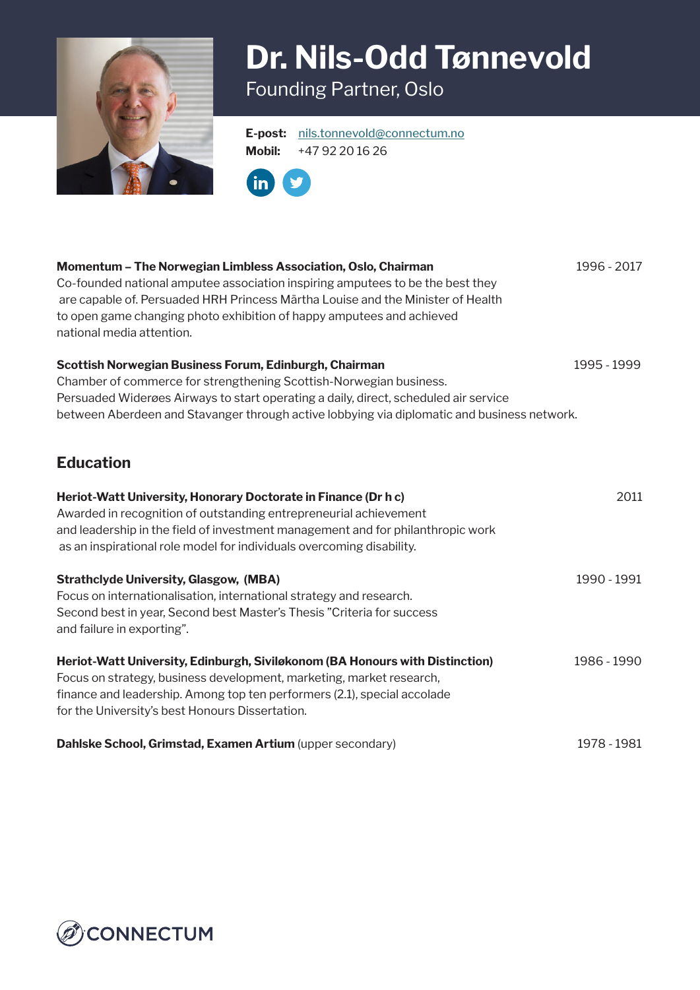

## **Dr. Nils-Odd Tønnevold** Founding Partner, Oslo

**E-post:** [nils.tonnevold@connectum.no](mailto:nils.tonnevold%40connectum.no?subject=) **Mobil:** +47 92 20 16 26



**Momentum – The Norwegian Limbless Association, Oslo, Chairman** 1996 - 2017 Co-founded national amputee association inspiring amputees to be the best they are capable of. Persuaded HRH Princess Märtha Louise and the Minister of Health to open game changing photo exhibition of happy amputees and achieved national media attention. **Scottish Norwegian Business Forum, Edinburgh, Chairman** 1995 - 1999 Chamber of commerce for strengthening Scottish-Norwegian business. Persuaded Widerøes Airways to start operating a daily, direct, scheduled air service between Aberdeen and Stavanger through active lobbying via diplomatic and business network. **Education Heriot-Watt University, Honorary Doctorate in Finance (Dr h c)** 2011 Awarded in recognition of outstanding entrepreneurial achievement and leadership in the field of investment management and for philanthropic work as an inspirational role model for individuals overcoming disability. **Strathclyde University, Glasgow, (MBA)** 1990 - 1991 Focus on internationalisation, international strategy and research. Second best in year, Second best Master's Thesis "Criteria for success and failure in exporting". **Heriot-Watt University, Edinburgh, Siviløkonom (BA Honours with Distinction)** 1986 - 1990 Focus on strategy, business development, marketing, market research, finance and leadership. Among top ten performers (2.1), special accolade for the University's best Honours Dissertation. **Dahlske School, Grimstad, Examen Artium** (upper secondary) 1978 - 1981